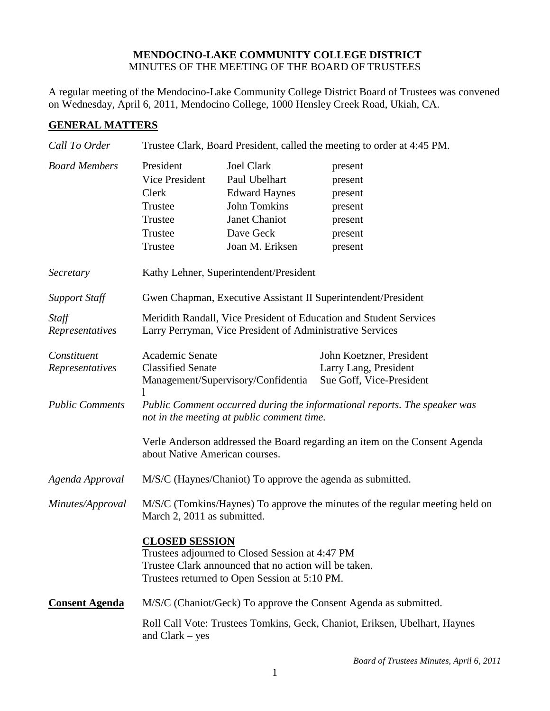## **MENDOCINO-LAKE COMMUNITY COLLEGE DISTRICT** MINUTES OF THE MEETING OF THE BOARD OF TRUSTEES

A regular meeting of the Mendocino-Lake Community College District Board of Trustees was convened on Wednesday, April 6, 2011, Mendocino College, 1000 Hensley Creek Road, Ukiah, CA.

## **GENERAL MATTERS**

| Call To Order                  | Trustee Clark, Board President, called the meeting to order at 4:45 PM.                                                         |                                                                                                                                                           |                                                                               |
|--------------------------------|---------------------------------------------------------------------------------------------------------------------------------|-----------------------------------------------------------------------------------------------------------------------------------------------------------|-------------------------------------------------------------------------------|
| <b>Board Members</b>           | President<br>Vice President<br>Clerk<br>Trustee<br>Trustee<br>Trustee<br>Trustee                                                | <b>Joel Clark</b><br>Paul Ubelhart<br><b>Edward Haynes</b><br><b>John Tomkins</b><br>Janet Chaniot<br>Dave Geck<br>Joan M. Eriksen                        | present<br>present<br>present<br>present<br>present<br>present<br>present     |
| Secretary                      |                                                                                                                                 | Kathy Lehner, Superintendent/President                                                                                                                    |                                                                               |
| <b>Support Staff</b>           | Gwen Chapman, Executive Assistant II Superintendent/President                                                                   |                                                                                                                                                           |                                                                               |
| Staff<br>Representatives       | Meridith Randall, Vice President of Education and Student Services<br>Larry Perryman, Vice President of Administrative Services |                                                                                                                                                           |                                                                               |
| Constituent<br>Representatives | Academic Senate<br><b>Classified Senate</b>                                                                                     | Management/Supervisory/Confidentia                                                                                                                        | John Koetzner, President<br>Larry Lang, President<br>Sue Goff, Vice-President |
| <b>Public Comments</b>         | Public Comment occurred during the informational reports. The speaker was<br>not in the meeting at public comment time.         |                                                                                                                                                           |                                                                               |
|                                | about Native American courses.                                                                                                  |                                                                                                                                                           | Verle Anderson addressed the Board regarding an item on the Consent Agenda    |
| Agenda Approval                | M/S/C (Haynes/Chaniot) To approve the agenda as submitted.                                                                      |                                                                                                                                                           |                                                                               |
| Minutes/Approval               | M/S/C (Tomkins/Haynes) To approve the minutes of the regular meeting held on<br>March 2, 2011 as submitted.                     |                                                                                                                                                           |                                                                               |
|                                | <b>CLOSED SESSION</b>                                                                                                           | Trustees adjourned to Closed Session at 4:47 PM<br>Trustee Clark announced that no action will be taken.<br>Trustees returned to Open Session at 5:10 PM. |                                                                               |
| <b>Consent Agenda</b>          |                                                                                                                                 |                                                                                                                                                           | M/S/C (Chaniot/Geck) To approve the Consent Agenda as submitted.              |
|                                | and $Clark - yes$                                                                                                               |                                                                                                                                                           | Roll Call Vote: Trustees Tomkins, Geck, Chaniot, Eriksen, Ubelhart, Haynes    |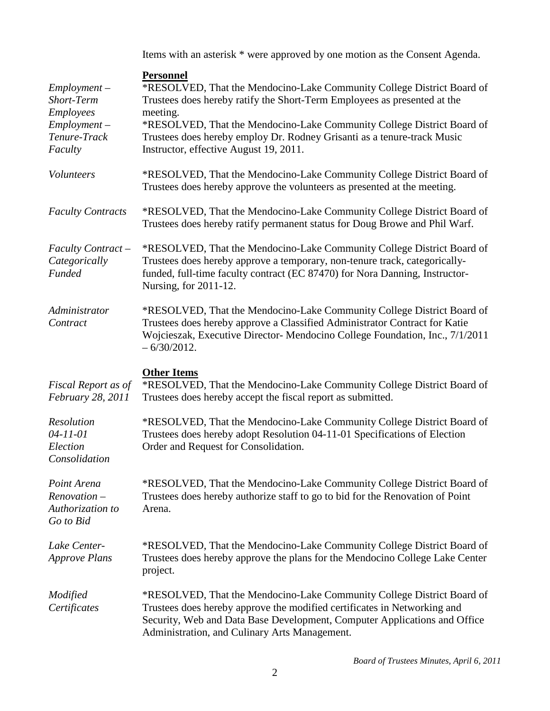Items with an asterisk \* were approved by one motion as the Consent Agenda.

| $Employment -$<br>Short-Term<br>Employees<br>$Employment -$<br>Tenure-Track<br>Faculty | <b>Personnel</b><br>*RESOLVED, That the Mendocino-Lake Community College District Board of<br>Trustees does hereby ratify the Short-Term Employees as presented at the<br>meeting.<br>*RESOLVED, That the Mendocino-Lake Community College District Board of<br>Trustees does hereby employ Dr. Rodney Grisanti as a tenure-track Music<br>Instructor, effective August 19, 2011. |
|----------------------------------------------------------------------------------------|-----------------------------------------------------------------------------------------------------------------------------------------------------------------------------------------------------------------------------------------------------------------------------------------------------------------------------------------------------------------------------------|
| <i>Volunteers</i>                                                                      | *RESOLVED, That the Mendocino-Lake Community College District Board of<br>Trustees does hereby approve the volunteers as presented at the meeting.                                                                                                                                                                                                                                |
| <b>Faculty Contracts</b>                                                               | *RESOLVED, That the Mendocino-Lake Community College District Board of<br>Trustees does hereby ratify permanent status for Doug Browe and Phil Warf.                                                                                                                                                                                                                              |
| <b>Faculty Contract -</b><br>Categorically<br><b>Funded</b>                            | *RESOLVED, That the Mendocino-Lake Community College District Board of<br>Trustees does hereby approve a temporary, non-tenure track, categorically-<br>funded, full-time faculty contract (EC 87470) for Nora Danning, Instructor-<br>Nursing, for 2011-12.                                                                                                                      |
| Administrator<br>Contract                                                              | *RESOLVED, That the Mendocino-Lake Community College District Board of<br>Trustees does hereby approve a Classified Administrator Contract for Katie<br>Wojcieszak, Executive Director- Mendocino College Foundation, Inc., 7/1/2011<br>$-6/30/2012$ .                                                                                                                            |
|                                                                                        |                                                                                                                                                                                                                                                                                                                                                                                   |
| Fiscal Report as of<br>February 28, 2011                                               | <b>Other Items</b><br>*RESOLVED, That the Mendocino-Lake Community College District Board of<br>Trustees does hereby accept the fiscal report as submitted.                                                                                                                                                                                                                       |
| Resolution<br>$04 - 11 - 01$<br>Election<br>Consolidation                              | *RESOLVED, That the Mendocino-Lake Community College District Board of<br>Trustees does hereby adopt Resolution 04-11-01 Specifications of Election<br>Order and Request for Consolidation.                                                                                                                                                                                       |
| Point Arena<br>$Renovation -$<br>Authorization to<br>Go to Bid                         | *RESOLVED, That the Mendocino-Lake Community College District Board of<br>Trustees does hereby authorize staff to go to bid for the Renovation of Point<br>Arena.                                                                                                                                                                                                                 |
| Lake Center-<br><b>Approve Plans</b>                                                   | *RESOLVED, That the Mendocino-Lake Community College District Board of<br>Trustees does hereby approve the plans for the Mendocino College Lake Center<br>project.                                                                                                                                                                                                                |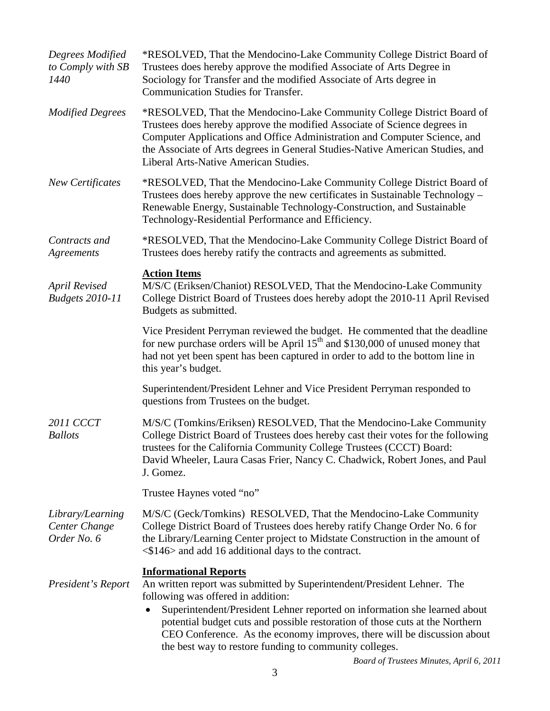| Degrees Modified<br>to Comply with SB<br>1440    | *RESOLVED, That the Mendocino-Lake Community College District Board of<br>Trustees does hereby approve the modified Associate of Arts Degree in<br>Sociology for Transfer and the modified Associate of Arts degree in<br><b>Communication Studies for Transfer.</b>                                                                                                                                                                            |
|--------------------------------------------------|-------------------------------------------------------------------------------------------------------------------------------------------------------------------------------------------------------------------------------------------------------------------------------------------------------------------------------------------------------------------------------------------------------------------------------------------------|
| <b>Modified Degrees</b>                          | *RESOLVED, That the Mendocino-Lake Community College District Board of<br>Trustees does hereby approve the modified Associate of Science degrees in<br>Computer Applications and Office Administration and Computer Science, and<br>the Associate of Arts degrees in General Studies-Native American Studies, and<br>Liberal Arts-Native American Studies.                                                                                      |
| <b>New Certificates</b>                          | *RESOLVED, That the Mendocino-Lake Community College District Board of<br>Trustees does hereby approve the new certificates in Sustainable Technology –<br>Renewable Energy, Sustainable Technology-Construction, and Sustainable<br>Technology-Residential Performance and Efficiency.                                                                                                                                                         |
| Contracts and<br>Agreements                      | *RESOLVED, That the Mendocino-Lake Community College District Board of<br>Trustees does hereby ratify the contracts and agreements as submitted.                                                                                                                                                                                                                                                                                                |
| <b>April Revised</b><br><b>Budgets 2010-11</b>   | <b>Action Items</b><br>M/S/C (Eriksen/Chaniot) RESOLVED, That the Mendocino-Lake Community<br>College District Board of Trustees does hereby adopt the 2010-11 April Revised<br>Budgets as submitted.                                                                                                                                                                                                                                           |
|                                                  | Vice President Perryman reviewed the budget. He commented that the deadline<br>for new purchase orders will be April $15th$ and \$130,000 of unused money that<br>had not yet been spent has been captured in order to add to the bottom line in<br>this year's budget.                                                                                                                                                                         |
|                                                  | Superintendent/President Lehner and Vice President Perryman responded to<br>questions from Trustees on the budget.                                                                                                                                                                                                                                                                                                                              |
| <b>2011 CCCT</b><br><b>Ballots</b>               | M/S/C (Tomkins/Eriksen) RESOLVED, That the Mendocino-Lake Community<br>College District Board of Trustees does hereby cast their votes for the following<br>trustees for the California Community College Trustees (CCCT) Board:<br>David Wheeler, Laura Casas Frier, Nancy C. Chadwick, Robert Jones, and Paul<br>J. Gomez.                                                                                                                    |
|                                                  | Trustee Haynes voted "no"                                                                                                                                                                                                                                                                                                                                                                                                                       |
| Library/Learning<br>Center Change<br>Order No. 6 | M/S/C (Geck/Tomkins) RESOLVED, That the Mendocino-Lake Community<br>College District Board of Trustees does hereby ratify Change Order No. 6 for<br>the Library/Learning Center project to Midstate Construction in the amount of<br>$\langle$ \$146> and add 16 additional days to the contract.                                                                                                                                               |
| President's Report                               | <b>Informational Reports</b><br>An written report was submitted by Superintendent/President Lehner. The<br>following was offered in addition:<br>Superintendent/President Lehner reported on information she learned about<br>potential budget cuts and possible restoration of those cuts at the Northern<br>CEO Conference. As the economy improves, there will be discussion about<br>the best way to restore funding to community colleges. |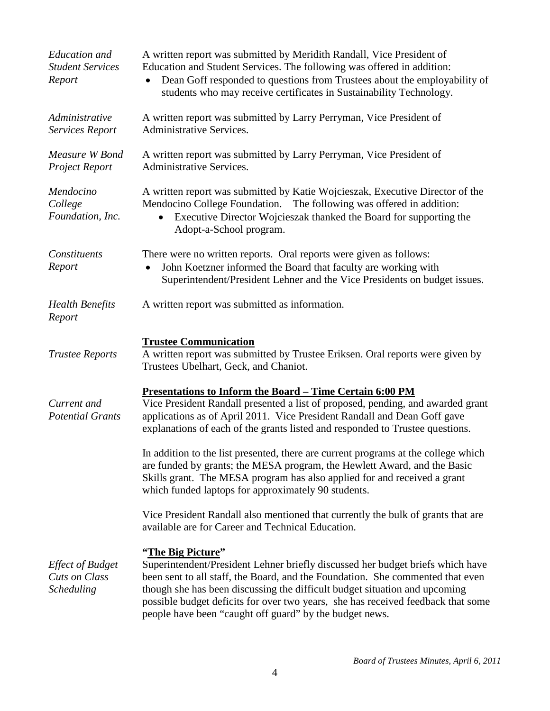| <b>Education</b> and<br><b>Student Services</b><br>Report | A written report was submitted by Meridith Randall, Vice President of<br>Education and Student Services. The following was offered in addition:<br>Dean Goff responded to questions from Trustees about the employability of<br>students who may receive certificates in Sustainability Technology.             |
|-----------------------------------------------------------|-----------------------------------------------------------------------------------------------------------------------------------------------------------------------------------------------------------------------------------------------------------------------------------------------------------------|
| Administrative<br>Services Report                         | A written report was submitted by Larry Perryman, Vice President of<br><b>Administrative Services.</b>                                                                                                                                                                                                          |
| Measure W Bond<br><b>Project Report</b>                   | A written report was submitted by Larry Perryman, Vice President of<br><b>Administrative Services.</b>                                                                                                                                                                                                          |
| Mendocino<br>College<br>Foundation, Inc.                  | A written report was submitted by Katie Wojcieszak, Executive Director of the<br>Mendocino College Foundation.<br>The following was offered in addition:<br>Executive Director Wojcieszak thanked the Board for supporting the<br>$\bullet$<br>Adopt-a-School program.                                          |
| Constituents<br>Report                                    | There were no written reports. Oral reports were given as follows:<br>John Koetzner informed the Board that faculty are working with<br>Superintendent/President Lehner and the Vice Presidents on budget issues.                                                                                               |
| <b>Health Benefits</b><br>Report                          | A written report was submitted as information.                                                                                                                                                                                                                                                                  |
| <b>Trustee Reports</b>                                    | <b>Trustee Communication</b><br>A written report was submitted by Trustee Eriksen. Oral reports were given by                                                                                                                                                                                                   |
|                                                           | Trustees Ubelhart, Geck, and Chaniot.                                                                                                                                                                                                                                                                           |
| Current and<br><b>Potential Grants</b>                    | <u>Presentations to Inform the Board - Time Certain 6:00 PM</u><br>Vice President Randall presented a list of proposed, pending, and awarded grant<br>applications as of April 2011. Vice President Randall and Dean Goff gave<br>explanations of each of the grants listed and responded to Trustee questions. |
|                                                           | In addition to the list presented, there are current programs at the college which<br>are funded by grants; the MESA program, the Hewlett Award, and the Basic<br>Skills grant. The MESA program has also applied for and received a grant<br>which funded laptops for approximately 90 students.               |
|                                                           | Vice President Randall also mentioned that currently the bulk of grants that are<br>available are for Career and Technical Education.                                                                                                                                                                           |